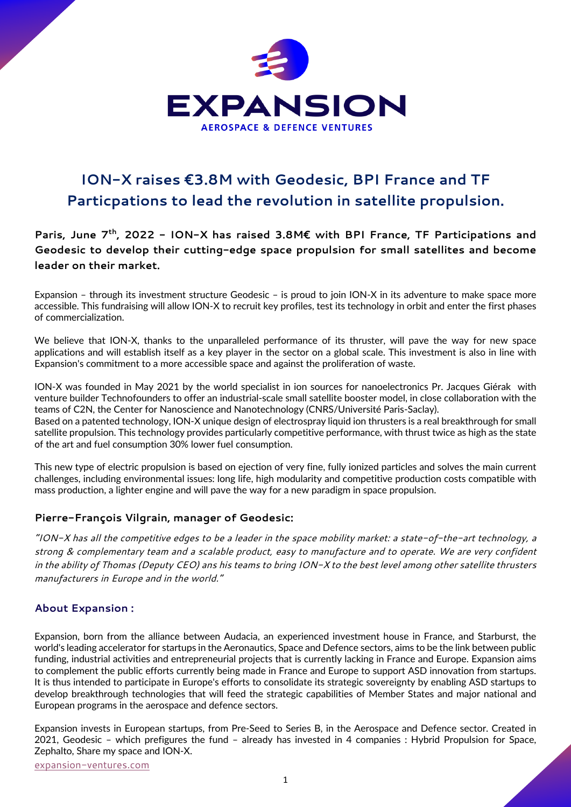

# **ION-X raises €3.8M with Geodesic, BPI France and TF Particpations to lead the revolution in satellite propulsion.**

**Paris, June 7th, 2022 - ION-X has raised 3.8M€ with BPI France, TF Participations and Geodesic to develop their cutting-edge space propulsion for small satellites and become leader on their market.**

Expansion – through its investment structure Geodesic – is proud to join ION-X in its adventure to make space more accessible. This fundraising will allow ION-X to recruit key profiles, test its technology in orbit and enter the first phases of commercialization.

We believe that ION-X, thanks to the unparalleled performance of its thruster, will pave the way for new space applications and will establish itself as a key player in the sector on a global scale. This investment is also in line with Expansion's commitment to a more accessible space and against the proliferation of waste.

ION-X was founded in May 2021 by the world specialist in ion sources for nanoelectronics Pr. Jacques Giérak with venture builder Technofounders to offer an industrial-scale small satellite booster model, in close collaboration with the teams of C2N, the Center for Nanoscience and Nanotechnology (CNRS/Université Paris-Saclay).

Based on a patented technology, ION-X unique design of electrospray liquid ion thrusters is a real breakthrough for small satellite propulsion. This technology provides particularly competitive performance, with thrust twice as high as the state of the art and fuel consumption 30% lower fuel consumption.

This new type of electric propulsion is based on ejection of very fine, fully ionized particles and solves the main current challenges, including environmental issues: long life, high modularity and competitive production costs compatible with mass production, a lighter engine and will pave the way for a new paradigm in space propulsion.

## **Pierre-François Vilgrain, manager of Geodesic:**

*"ION-X has all the competitive edges to be a leader in the space mobility market: a state-of-the-art technology, a strong & complementary team and a scalable product, easy to manufacture and to operate. We are very confident in the ability of Thomas (Deputy CEO) ans his teams to bring ION-X to the best level among other satellite thrusters manufacturers in Europe and in the world."*

# **About Expansion :**

Expansion, born from the alliance between Audacia, an experienced investment house in France, and Starburst, the world's leading accelerator for startups in the Aeronautics, Space and Defence sectors, aims to be the link between public funding, industrial activities and entrepreneurial projects that is currently lacking in France and Europe. Expansion aims to complement the public efforts currently being made in France and Europe to support ASD innovation from startups. It is thus intended to participate in Europe's efforts to consolidate its strategic sovereignty by enabling ASD startups to develop breakthrough technologies that will feed the strategic capabilities of Member States and major national and European programs in the aerospace and defence sectors.

Expansion invests in European startups, from Pre-Seed to Series B, in the Aerospace and Defence sector. Created in 2021, Geodesic – which prefigures the fund – already has invested in 4 companies : Hybrid Propulsion for Space, Zephalto, Share my space and ION-X.

expansion-ventures.com